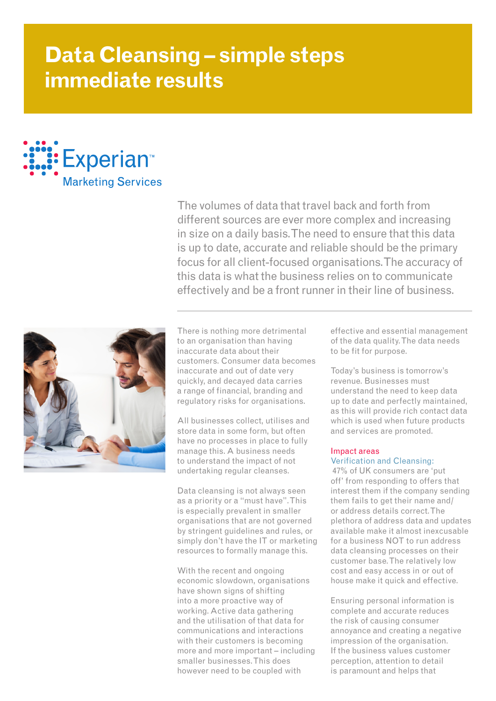# **Data Cleansing – simple steps immediate results**



The volumes of data that travel back and forth from different sources are ever more complex and increasing in size on a daily basis. The need to ensure that this data is up to date, accurate and reliable should be the primary focus for all client-focused organisations. The accuracy of this data is what the business relies on to communicate effectively and be a front runner in their line of business.



There is nothing more detrimental to an organisation than having inaccurate data about their customers. Consumer data becomes inaccurate and out of date very quickly, and decayed data carries a range of financial, branding and regulatory risks for organisations.

All businesses collect, utilises and store data in some form, but often have no processes in place to fully manage this. A business needs to understand the impact of not undertaking regular cleanses.

Data cleansing is not always seen as a priority or a "must have". This is especially prevalent in smaller organisations that are not governed by stringent guidelines and rules, or simply don't have the IT or marketing resources to formally manage this.

With the recent and ongoing economic slowdown, organisations have shown signs of shifting into a more proactive way of working. Active data gathering and the utilisation of that data for communications and interactions with their customers is becoming more and more important – including smaller businesses. This does however need to be coupled with

effective and essential management of the data quality. The data needs to be fit for purpose.

Today's business is tomorrow's revenue. Businesses must understand the need to keep data up to date and perfectly maintained, as this will provide rich contact data which is used when future products and services are promoted.

## Impact areas Verification and Cleansing:

 47% of UK consumers are 'put off' from responding to offers that interest them if the company sending them fails to get their name and/ or address details correct. The plethora of address data and updates available make it almost inexcusable for a business NOT to run address data cleansing processes on their customer base. The relatively low cost and easy access in or out of house make it quick and effective.

Ensuring personal information is complete and accurate reduces the risk of causing consumer annoyance and creating a negative impression of the organisation. If the business values customer perception, attention to detail is paramount and helps that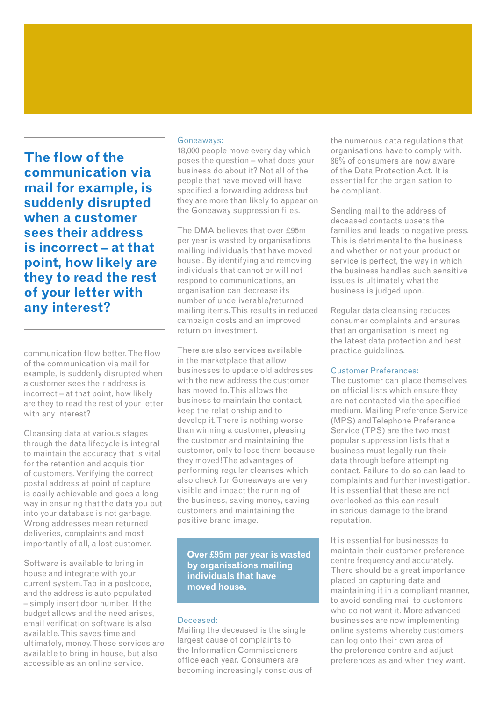**The flow of the communication via mail for example, is suddenly disrupted when a customer sees their address is incorrect – at that point, how likely are they to read the rest of your letter with any interest?** 

communication flow better. The flow of the communication via mail for example, is suddenly disrupted when a customer sees their address is incorrect – at that point, how likely are they to read the rest of your letter with any interest?

Cleansing data at various stages through the data lifecycle is integral to maintain the accuracy that is vital for the retention and acquisition of customers. Verifying the correct postal address at point of capture is easily achievable and goes a long way in ensuring that the data you put into your database is not garbage. Wrong addresses mean returned deliveries, complaints and most importantly of all, a lost customer.

Software is available to bring in house and integrate with your current system. Tap in a postcode, and the address is auto populated – simply insert door number. If the budget allows and the need arises, email verification software is also available. This saves time and ultimately, money. These services are available to bring in house, but also accessible as an online service.

#### Goneaways:

18,000 people move every day which poses the question – what does your business do about it? Not all of the people that have moved will have specified a forwarding address but they are more than likely to appear on the Goneaway suppression files.

The DMA believes that over £95m per year is wasted by organisations mailing individuals that have moved house . By identifying and removing individuals that cannot or will not respond to communications, an organisation can decrease its number of undeliverable/returned mailing items. This results in reduced campaign costs and an improved return on investment.

There are also services available in the marketplace that allow businesses to update old addresses with the new address the customer has moved to. This allows the business to maintain the contact, keep the relationship and to develop it. There is nothing worse than winning a customer, pleasing the customer and maintaining the customer, only to lose them because they moved! The advantages of performing regular cleanses which also check for Goneaways are very visible and impact the running of the business, saving money, saving customers and maintaining the positive brand image.

**Over £95m per year is wasted by organisations mailing individuals that have moved house.** 

#### Deceased:

Mailing the deceased is the single largest cause of complaints to the Information Commissioners office each year. Consumers are becoming increasingly conscious of the numerous data regulations that organisations have to comply with. 86% of consumers are now aware of the Data Protection Act. It is essential for the organisation to be compliant.

Sending mail to the address of deceased contacts upsets the families and leads to negative press. This is detrimental to the business and whether or not your product or service is perfect, the way in which the business handles such sensitive issues is ultimately what the business is judged upon.

Regular data cleansing reduces consumer complaints and ensures that an organisation is meeting the latest data protection and best practice guidelines.

### Customer Preferences:

The customer can place themselves on official lists which ensure they are not contacted via the specified medium. Mailing Preference Service (MPS) and Telephone Preference Service (TPS) are the two most popular suppression lists that a business must legally run their data through before attempting contact. Failure to do so can lead to complaints and further investigation. It is essential that these are not overlooked as this can result in serious damage to the brand reputation.

It is essential for businesses to maintain their customer preference centre frequency and accurately. There should be a great importance placed on capturing data and maintaining it in a compliant manner, to avoid sending mail to customers who do not want it. More advanced businesses are now implementing online systems whereby customers can log onto their own area of the preference centre and adjust preferences as and when they want.